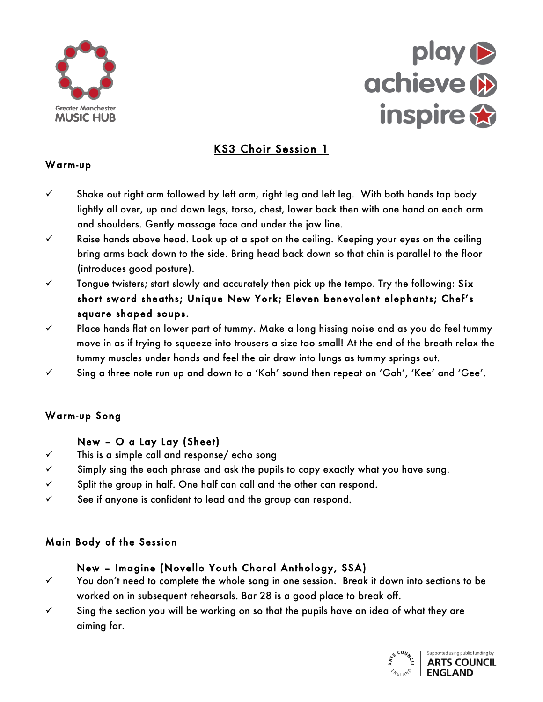



# KS3 Choir Session 1

#### Warm-up

- Shake out right arm tollowed by lett arm, right leg and l<br>lightly all over, up and down legs, torso, chest, lower b<br>and shoulders. Gently massage face and under the jaw  $\checkmark$  Shake out right arm followed by left arm, right leg and left leg. With both hands tap body lightly all over, up and down legs, torso, chest, lower back then with one hand on each arm and shoulders. Gently massage face and under the jaw line.
- Raise hands above head. Look up at a spot on the ceiling. Keeping your eyes on the ceiling<br>bring arms back down to the side. Bring head back down so that chin is parallel to the floor<br>fintroduces apod posture) bring arms back down to the side. Bring head back down so that chin is parallel to the floor (introduces good posture).
- V Tongue twisters; start slowly and accurately then pick up the tempo. Try the following: Six short sword sheaths; Unique New York; Eleven benevolent elephants; Chef's square shaped soups.
- $\checkmark$  Place hands flat on lower part of tummy. Make a long hissing noise and as you do feel tummy move in as if trying to squeeze into trousers a size too small! At the end of the breath relax the tummy muscles under hands and feel the air draw into lungs as tummy springs out.
- $\checkmark$  Sing a three note run up and down to a 'Kah' sound then repeat on 'Gah', 'Kee' and 'Gee'.

### Warm-up Song

#### Boltayew – Quillay Lay (Sheet) **EXECUTER DE LE**

- This is a simple call and response/ echo song
- √ <sup>a moc</sup>Simply sing the each phrase and ask the pupils to copy axactly what you have sung.
- $\checkmark$  Split the group in half. One half can call and the other can respond.
- $\checkmark$  See if anyone is confident to lead and the group can respond.

### Main Body of the Session

### New – Imagine (Novello Youth Choral Anthology, SSA)

- $\checkmark$  You don't need to complete the whole song in one session. Break it down into sections to be worked on in subsequent rehearsals. Bar 28 is a good place to break off.
- $\checkmark$  Sing the section you will be working on so that the pupils have an idea of what they are aiming for.